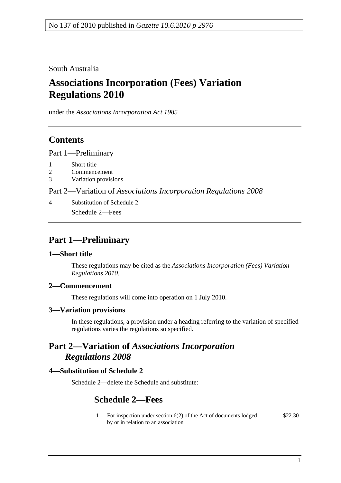South Australia

# **Associations Incorporation (Fees) Variation Regulations 2010**

under the *Associations Incorporation Act 1985*

## **Contents**

Part 1—Preliminary

- 1 Short title
- 2 Commencement
- 3 Variation provisions

Part 2—Variation of *Associations Incorporation Regulations 2008*

4 Substitution of Schedule 2 Schedule 2—Fees

## **Part 1—Preliminary**

## **1—Short title**

These regulations may be cited as the *Associations Incorporation (Fees) Variation Regulations 2010*.

## **2—Commencement**

These regulations will come into operation on 1 July 2010.

#### **3—Variation provisions**

In these regulations, a provision under a heading referring to the variation of specified regulations varies the regulations so specified.

## **Part 2—Variation of** *Associations Incorporation Regulations 2008*

## **4—Substitution of Schedule 2**

Schedule 2—delete the Schedule and substitute:

## **Schedule 2—Fees**

1 For inspection under section 6(2) of the Act of documents lodged by or in relation to an association \$22.30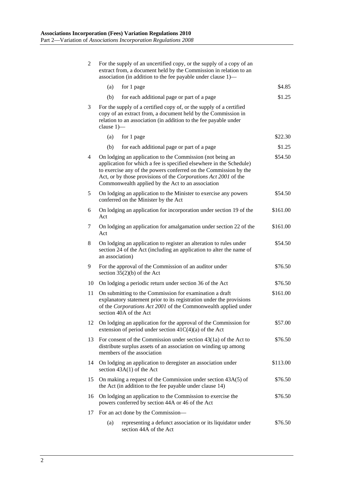| 2  | For the supply of an uncertified copy, or the supply of a copy of an<br>extract from, a document held by the Commission in relation to an<br>association (in addition to the fee payable under clause 1)—                                                                                                                    |          |
|----|------------------------------------------------------------------------------------------------------------------------------------------------------------------------------------------------------------------------------------------------------------------------------------------------------------------------------|----------|
|    | (a)<br>for 1 page                                                                                                                                                                                                                                                                                                            | \$4.85   |
|    | for each additional page or part of a page<br>(b)                                                                                                                                                                                                                                                                            | \$1.25   |
| 3  | For the supply of a certified copy of, or the supply of a certified<br>copy of an extract from, a document held by the Commission in<br>relation to an association (in addition to the fee payable under<br>clause $1$ ) $-$                                                                                                 |          |
|    | (a)<br>for 1 page                                                                                                                                                                                                                                                                                                            | \$22.30  |
|    | for each additional page or part of a page<br>(b)                                                                                                                                                                                                                                                                            | \$1.25   |
| 4  | On lodging an application to the Commission (not being an<br>application for which a fee is specified elsewhere in the Schedule)<br>to exercise any of the powers conferred on the Commission by the<br>Act, or by those provisions of the Corporations Act 2001 of the<br>Commonwealth applied by the Act to an association | \$54.50  |
| 5  | On lodging an application to the Minister to exercise any powers<br>conferred on the Minister by the Act                                                                                                                                                                                                                     | \$54.50  |
| 6  | On lodging an application for incorporation under section 19 of the<br>Act                                                                                                                                                                                                                                                   | \$161.00 |
| 7  | On lodging an application for amalgamation under section 22 of the<br>Act                                                                                                                                                                                                                                                    | \$161.00 |
| 8  | On lodging an application to register an alteration to rules under<br>section 24 of the Act (including an application to alter the name of<br>an association)                                                                                                                                                                | \$54.50  |
| 9  | For the approval of the Commission of an auditor under<br>section $35(2)(b)$ of the Act                                                                                                                                                                                                                                      | \$76.50  |
| 10 | On lodging a periodic return under section 36 of the Act                                                                                                                                                                                                                                                                     | \$76.50  |
| 11 | On submitting to the Commission for examination a draft<br>explanatory statement prior to its registration under the provisions<br>of the Corporations Act 2001 of the Commonwealth applied under<br>section 40A of the Act                                                                                                  | \$161.00 |
| 12 | On lodging an application for the approval of the Commission for<br>extension of period under section $41C(4)(a)$ of the Act                                                                                                                                                                                                 | \$57.00  |
| 13 | For consent of the Commission under section $43(1a)$ of the Act to<br>distribute surplus assets of an association on winding up among<br>members of the association                                                                                                                                                          | \$76.50  |
| 14 | On lodging an application to deregister an association under<br>section $43A(1)$ of the Act                                                                                                                                                                                                                                  | \$113.00 |
| 15 | On making a request of the Commission under section 43A(5) of<br>the Act (in addition to the fee payable under clause 14)                                                                                                                                                                                                    | \$76.50  |
| 16 | On lodging an application to the Commission to exercise the<br>powers conferred by section 44A or 46 of the Act                                                                                                                                                                                                              | \$76.50  |
| 17 | For an act done by the Commission—                                                                                                                                                                                                                                                                                           |          |
|    | representing a defunct association or its liquidator under<br>(a)<br>section 44A of the Act                                                                                                                                                                                                                                  | \$76.50  |